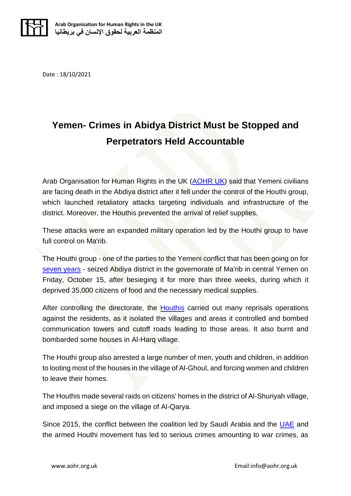

Date : 18/10/2021

## **Yemen- Crimes in Abidya District Must be Stopped and Perpetrators Held Accountable**

Arab Organisation for Human Rights in the UK [\(AOHR UK\)](https://aohr.org.uk/home/) said that Yemeni civilians are facing death in the Abdiya district after it fell under the control of the Houthi group, which launched retaliatory attacks targeting individuals and infrastructure of the district. Moreover, the Houthis prevented the arrival of relief supplies.

These attacks were an expanded military operation led by the Houthi group to have full control on Ma'rib.

The Houthi group - one of the parties to the Yemeni conflict that has been going on for [seven years](https://aohr.org.uk/in-its-seventh-year-the-war-in-yemen-has-displaced-67000-civilians-over-the-last-9-month/) - seized Abdiya district in the governorate of Ma'rib in central Yemen on Friday, October 15, after besieging it for more than three weeks, during which it deprived 35,000 citizens of food and the necessary medical supplies.

After controlling the directorate, the **Houthis** carried out many reprisals operations against the residents, as it isolated the villages and areas it controlled and bombed communication towers and cutoff roads leading to those areas. It also burnt and bombarded some houses in Al-Harq village.

The Houthi group also arrested a large number of men, youth and children, in addition to looting most of the houses in the village of Al-Ghoul, and forcing women and children to leave their homes.

The Houthis made several raids on citizens' homes in the district of Al-Shuriyah village, and imposed a siege on the village of Al-Qarya.

Since 2015, the conflict between the coalition led by Saudi Arabia and the [UAE](https://aohr.org.uk/yemen-the-crimes-of-the-uae-backed-southern-transitional-council-continue-with-no-accountability/) and the armed Houthi movement has led to serious crimes amounting to war crimes, as